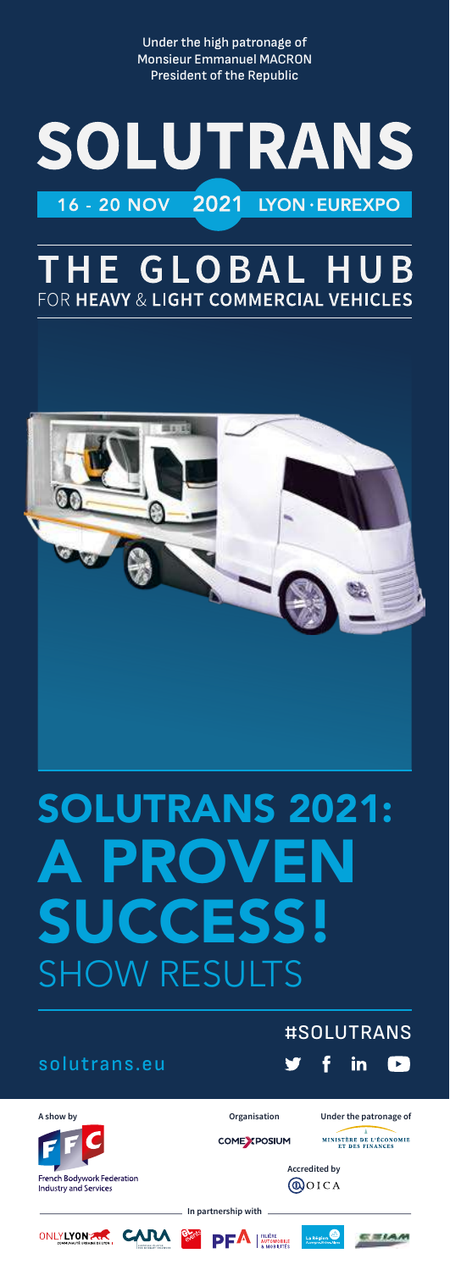Under the high patronage of Monsieur Emmanuel MACRON President of the Republic

# **SOLUTRANS** 16 - 20 NOV 2021 LYON · EUREXPO

# **HE GLOBAL HU** FOR HEAVY & LIGHT COMMERCIAL VEHICLES



# SOLUTRANS 2021: PROV **SUCCESS!** SHOW RESULTS

### solutrans.eu

### #SOLUTRANS

MINISTÈRE DE L'ÉCONOMIE

CEIAM





French Bodywork Federation<br>Industry and Services

**In partnership with**

ONLYLYON AR CARA SET



COME YPOSIUM



**Accredited by**

**@OICA**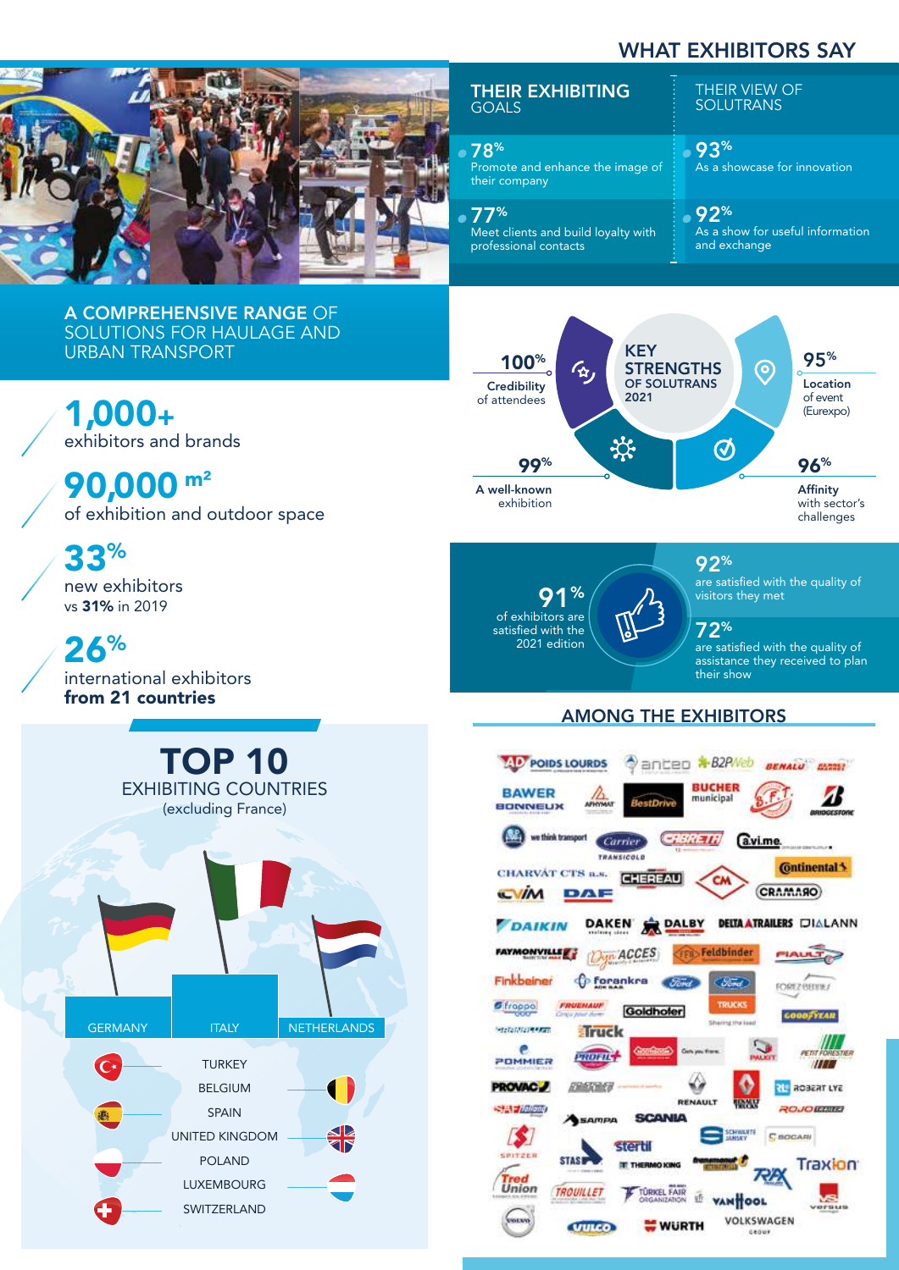## WHAT EXHIBITORS SAY



#### THEIR EXHIBITING GOALS

#### 78% Promote and enhance the image of their company

77% Meet clients and build loyalty with professional contacts

THEIR VIEW OF **SOLUTRANS** 

93% As a showcase for innovation

#### 92% As a show for useful information and exchange

A COMPREHENSIVE RANGE OF SOLUTIONS FOR HAULAGE AND URBAN TRANSPORT

1,000+ exhibitors and brands

90,000 m² of exhibition and outdoor space

33% new exhibitors

vs 31% in 2019 26%

international exhibitors from 21 countries





91% of exhibitors are satisfied with the

2021 edition

visitors they met

92%

their show

72% are satisfied with the quality of assistance they received to plan

are satisfied with the quality of

### AMONG THE EXHIBITORS

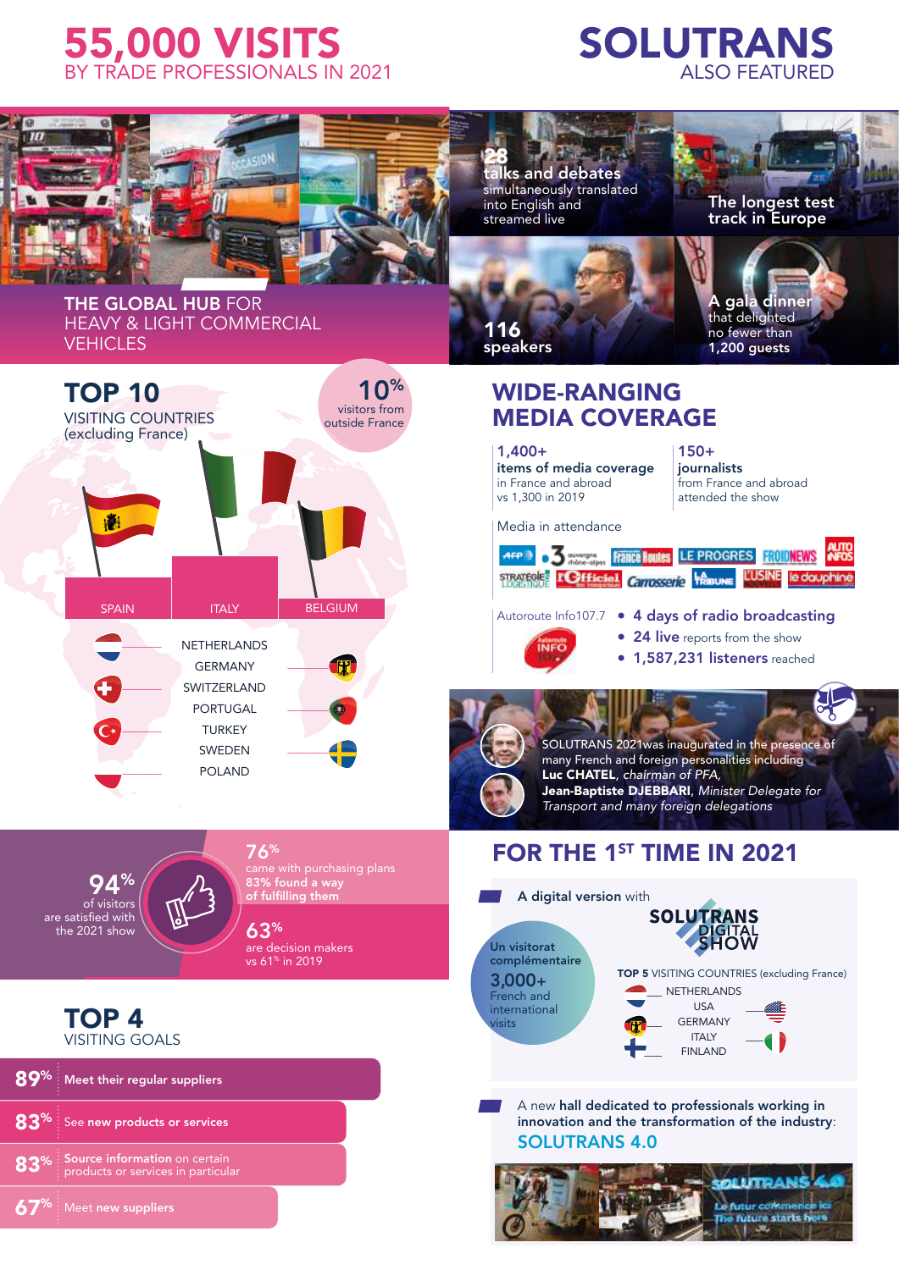# 55,000 VISITS BY TRADE PROFESSIONALS IN 2021

# SOLUTRANS ALSO FEATURED



Source information on certain<br>products or services in particular % 83% See new products or services 89<sup>%</sup> Meet their regular suppliers  $67\%$  Meet new suppliers

#### A new hall dedicated to professionals working in innovation and the transformation of the industry: SOLUTRANS 4.0

 $-$ 

![](_page_2_Picture_5.jpeg)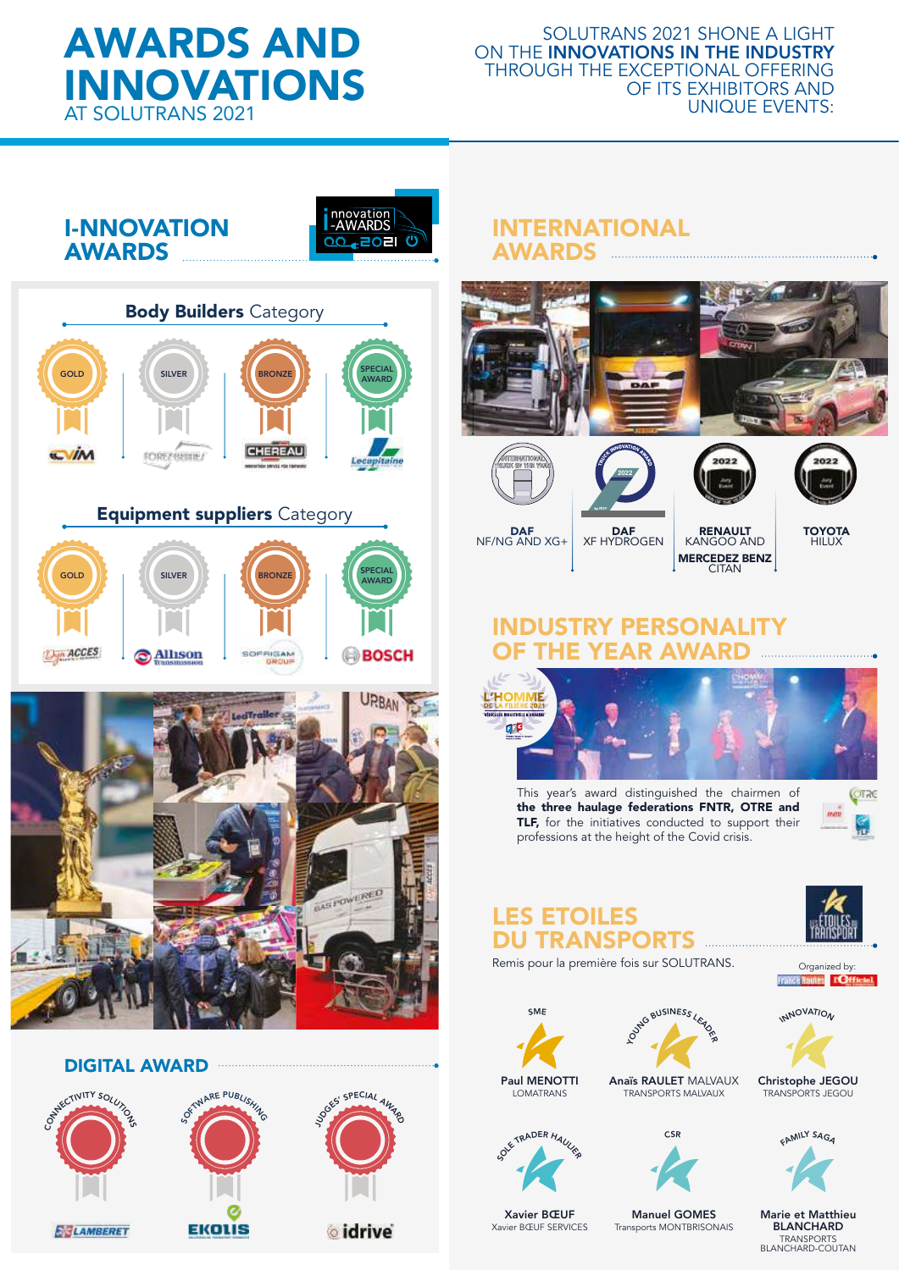# AWARDS AND INNOVATIONS AT SOLUTRANS 2021

#### SOLUTRANS 2021 SHONE A LIGHT ON THE INNOVATIONS IN THE INDUSTRY THROUGH THE EXCEPTIONAL OFFERING OF ITS EXHIBITORS AND UNIQUE EVENTS:

I-NNOVATION **AWARDS** 

![](_page_3_Picture_3.jpeg)

![](_page_3_Picture_4.jpeg)

### INTERNATIONAL AWARDS

![](_page_3_Picture_6.jpeg)

![](_page_3_Picture_7.jpeg)

![](_page_3_Picture_8.jpeg)

![](_page_3_Picture_9.jpeg)

![](_page_3_Picture_10.jpeg)

DAF NF/NG AND XG+

**DAF** XF HYDROGEN RENAULT KANGOO AND MERCEDEZ BENZ **CITAN** 

**TOYOTA** HILUX

. . . . . . . . . . . . . . . . . . .

### **ISTRY PERSONALITY** OF THE YEAR AWARD

![](_page_3_Picture_15.jpeg)

This year's award distinguished the chairmen of the three haulage federations FNTR, OTRE and TLF, for the initiatives conducted to support their professions at the height of the Covid crisis.

![](_page_3_Picture_17.jpeg)

## LES ETOILES DU TRANSPORTS

Remis pour la première fois sur SOLUTRANS. Organized by:<br>**Traice Runnel** 

![](_page_3_Picture_20.jpeg)

![](_page_3_Picture_21.jpeg)

![](_page_3_Picture_22.jpeg)

INNOVATION

Christophe JEGOU TRANSPORTS JEGOU

**MILY SAG** 

Marie et Matthieu BLANCHARD TRANSPORTS BLANCHARD-COUTAN

![](_page_3_Picture_26.jpeg)

Paul MENOTTI LOMATRANS

![](_page_3_Picture_28.jpeg)

Xavier BŒUF Xavier BŒUF SERVICES

Transports MONTBRISONAIS

Manuel GOMES

![](_page_3_Picture_32.jpeg)

![](_page_3_Picture_34.jpeg)

![](_page_3_Picture_35.jpeg)

![](_page_3_Picture_37.jpeg)

![](_page_3_Picture_39.jpeg)

![](_page_3_Picture_40.jpeg)

![](_page_3_Picture_41.jpeg)

![](_page_3_Picture_43.jpeg)

**EKOLIS E**SLAMBERET

**ECTIVITY SOLUT** 

DIGITAL AWARD

OFTWARE PUBLISHI

![](_page_3_Picture_45.jpeg)

OGES' SPECIAL AW